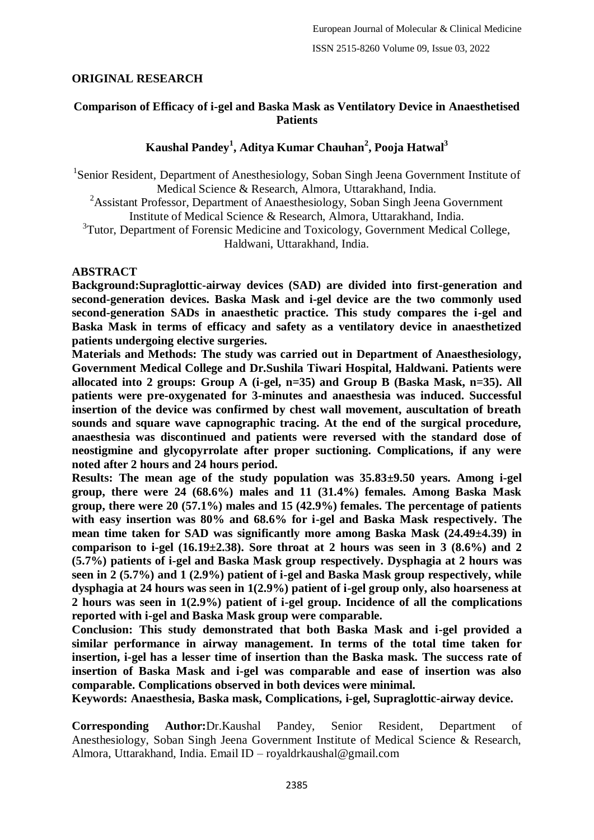# **ORIGINAL RESEARCH**

### **Comparison of Efficacy of i-gel and Baska Mask as Ventilatory Device in Anaesthetised Patients**

# **Kaushal Pandey<sup>1</sup> , Aditya Kumar Chauhan<sup>2</sup> , Pooja Hatwal<sup>3</sup>**

<sup>1</sup>Senior Resident, Department of Anesthesiology, Soban Singh Jeena Government Institute of Medical Science & Research, Almora, Uttarakhand, India.

<sup>2</sup>Assistant Professor, Department of Anaesthesiology, Soban Singh Jeena Government Institute of Medical Science & Research, Almora, Uttarakhand, India. <sup>3</sup>Tutor, Department of Forensic Medicine and Toxicology, Government Medical College,

Haldwani, Uttarakhand, India.

#### **ABSTRACT**

**Background:Supraglottic-airway devices (SAD) are divided into first-generation and second-generation devices. Baska Mask and i-gel device are the two commonly used second-generation SADs in anaesthetic practice. This study compares the i-gel and Baska Mask in terms of efficacy and safety as a ventilatory device in anaesthetized patients undergoing elective surgeries.**

**Materials and Methods: The study was carried out in Department of Anaesthesiology, Government Medical College and Dr.Sushila Tiwari Hospital, Haldwani. Patients were allocated into 2 groups: Group A (i-gel, n=35) and Group B (Baska Mask, n=35). All patients were pre-oxygenated for 3-minutes and anaesthesia was induced. Successful insertion of the device was confirmed by chest wall movement, auscultation of breath sounds and square wave capnographic tracing. At the end of the surgical procedure, anaesthesia was discontinued and patients were reversed with the standard dose of neostigmine and glycopyrrolate after proper suctioning. Complications, if any were noted after 2 hours and 24 hours period.**

**Results: The mean age of the study population was 35.83±9.50 years. Among i-gel group, there were 24 (68.6%) males and 11 (31.4%) females. Among Baska Mask group, there were 20 (57.1%) males and 15 (42.9%) females. The percentage of patients with easy insertion was 80% and 68.6% for i-gel and Baska Mask respectively. The mean time taken for SAD was significantly more among Baska Mask (24.49±4.39) in comparison to i-gel (16.19±2.38). Sore throat at 2 hours was seen in 3 (8.6%) and 2 (5.7%) patients of i-gel and Baska Mask group respectively. Dysphagia at 2 hours was seen in 2 (5.7%) and 1 (2.9%) patient of i-gel and Baska Mask group respectively, while dysphagia at 24 hours was seen in 1(2.9%) patient of i-gel group only, also hoarseness at 2 hours was seen in 1(2.9%) patient of i-gel group. Incidence of all the complications reported with i-gel and Baska Mask group were comparable.**

**Conclusion: This study demonstrated that both Baska Mask and i-gel provided a similar performance in airway management. In terms of the total time taken for insertion, i-gel has a lesser time of insertion than the Baska mask. The success rate of insertion of Baska Mask and i-gel was comparable and ease of insertion was also comparable. Complications observed in both devices were minimal.**

**Keywords: Anaesthesia, Baska mask, Complications, i-gel, Supraglottic-airway device.**

**Corresponding Author:**Dr.Kaushal Pandey, Senior Resident, Department of Anesthesiology, Soban Singh Jeena Government Institute of Medical Science & Research, Almora, Uttarakhand, India. Email ID – royaldrkaushal@gmail.com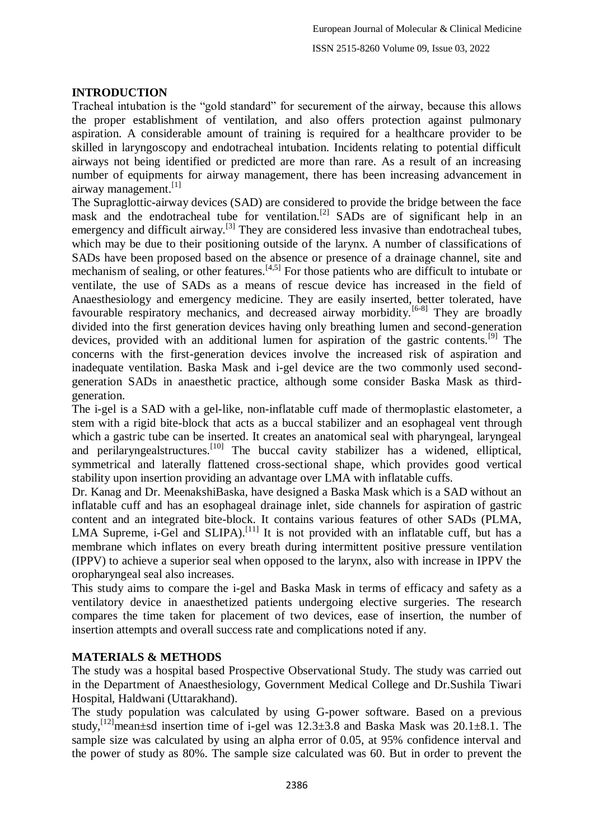#### **INTRODUCTION**

Tracheal intubation is the "gold standard" for securement of the airway, because this allows the proper establishment of ventilation, and also offers protection against pulmonary aspiration. A considerable amount of training is required for a healthcare provider to be skilled in laryngoscopy and endotracheal intubation. Incidents relating to potential difficult airways not being identified or predicted are more than rare. As a result of an increasing number of equipments for airway management, there has been increasing advancement in airway management. $\left[1\right]$ 

The Supraglottic-airway devices (SAD) are considered to provide the bridge between the face mask and the endotracheal tube for ventilation.<sup>[2]</sup> SADs are of significant help in an emergency and difficult airway.<sup>[3]</sup> They are considered less invasive than endotracheal tubes, which may be due to their positioning outside of the larynx. A number of classifications of SADs have been proposed based on the absence or presence of a drainage channel, site and mechanism of sealing, or other features.<sup>[4,5]</sup> For those patients who are difficult to intubate or ventilate, the use of SADs as a means of rescue device has increased in the field of Anaesthesiology and emergency medicine. They are easily inserted, better tolerated, have favourable respiratory mechanics, and decreased airway morbidity.<sup>[6-8]</sup> They are broadly divided into the first generation devices having only breathing lumen and second-generation devices, provided with an additional lumen for aspiration of the gastric contents.<sup>[9]</sup> The concerns with the first-generation devices involve the increased risk of aspiration and inadequate ventilation. Baska Mask and i-gel device are the two commonly used secondgeneration SADs in anaesthetic practice, although some consider Baska Mask as thirdgeneration.

The i-gel is a SAD with a gel-like, non-inflatable cuff made of thermoplastic elastometer, a stem with a rigid bite-block that acts as a buccal stabilizer and an esophageal vent through which a gastric tube can be inserted. It creates an anatomical seal with pharyngeal, laryngeal and perilaryngealstructures.<sup>[10]</sup> The buccal cavity stabilizer has a widened, elliptical, symmetrical and laterally flattened cross-sectional shape, which provides good vertical stability upon insertion providing an advantage over LMA with inflatable cuffs.

Dr. Kanag and Dr. MeenakshiBaska, have designed a Baska Mask which is a SAD without an inflatable cuff and has an esophageal drainage inlet, side channels for aspiration of gastric content and an integrated bite-block. It contains various features of other SADs (PLMA, LMA Supreme, i-Gel and SLIPA).<sup>[11]</sup> It is not provided with an inflatable cuff, but has a membrane which inflates on every breath during intermittent positive pressure ventilation (IPPV) to achieve a superior seal when opposed to the larynx, also with increase in IPPV the oropharyngeal seal also increases.

This study aims to compare the i-gel and Baska Mask in terms of efficacy and safety as a ventilatory device in anaesthetized patients undergoing elective surgeries. The research compares the time taken for placement of two devices, ease of insertion, the number of insertion attempts and overall success rate and complications noted if any.

### **MATERIALS & METHODS**

The study was a hospital based Prospective Observational Study. The study was carried out in the Department of Anaesthesiology, Government Medical College and Dr.Sushila Tiwari Hospital, Haldwani (Uttarakhand).

The study population was calculated by using G-power software. Based on a previous study,<sup>[12]</sup>mean±sd insertion time of i-gel was  $12.3\pm3.8$  and Baska Mask was  $20.1\pm8.1$ . The sample size was calculated by using an alpha error of 0.05, at 95% confidence interval and the power of study as 80%. The sample size calculated was 60. But in order to prevent the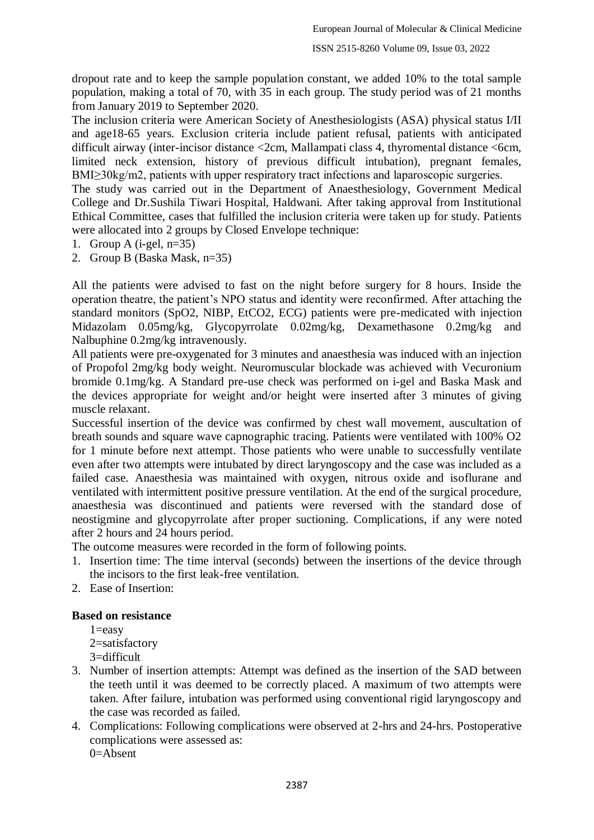dropout rate and to keep the sample population constant, we added 10% to the total sample population, making a total of 70, with 35 in each group. The study period was of 21 months from January 2019 to September 2020.

The inclusion criteria were American Society of Anesthesiologists (ASA) physical status I/II and age18-65 years. Exclusion criteria include patient refusal, patients with anticipated difficult airway (inter-incisor distance <2cm, Mallampati class 4, thyromental distance <6cm, limited neck extension, history of previous difficult intubation), pregnant females, BMI≥30kg/m2, patients with upper respiratory tract infections and laparoscopic surgeries.

The study was carried out in the Department of Anaesthesiology, Government Medical College and Dr.Sushila Tiwari Hospital, Haldwani. After taking approval from Institutional Ethical Committee, cases that fulfilled the inclusion criteria were taken up for study. Patients were allocated into 2 groups by Closed Envelope technique:

- 1. Group A (i-gel, n=35)
- 2. Group B (Baska Mask, n=35)

All the patients were advised to fast on the night before surgery for 8 hours. Inside the operation theatre, the patient's NPO status and identity were reconfirmed. After attaching the standard monitors (SpO2, NIBP, EtCO2, ECG) patients were pre-medicated with injection Midazolam 0.05mg/kg, Glycopyrrolate 0.02mg/kg, Dexamethasone 0.2mg/kg and Nalbuphine 0.2mg/kg intravenously.

All patients were pre-oxygenated for 3 minutes and anaesthesia was induced with an injection of Propofol 2mg/kg body weight. Neuromuscular blockade was achieved with Vecuronium bromide 0.1mg/kg. A Standard pre-use check was performed on i-gel and Baska Mask and the devices appropriate for weight and/or height were inserted after 3 minutes of giving muscle relaxant.

Successful insertion of the device was confirmed by chest wall movement, auscultation of breath sounds and square wave capnographic tracing. Patients were ventilated with 100% O2 for 1 minute before next attempt. Those patients who were unable to successfully ventilate even after two attempts were intubated by direct laryngoscopy and the case was included as a failed case. Anaesthesia was maintained with oxygen, nitrous oxide and isoflurane and ventilated with intermittent positive pressure ventilation. At the end of the surgical procedure, anaesthesia was discontinued and patients were reversed with the standard dose of neostigmine and glycopyrrolate after proper suctioning. Complications, if any were noted after 2 hours and 24 hours period.

The outcome measures were recorded in the form of following points.

- 1. Insertion time: The time interval (seconds) between the insertions of the device through the incisors to the first leak-free ventilation.
- 2. Ease of Insertion:

#### **Based on resistance**

 $1 = e$ asy

2=satisfactory

3=difficult

- 3. Number of insertion attempts: Attempt was defined as the insertion of the SAD between the teeth until it was deemed to be correctly placed. A maximum of two attempts were taken. After failure, intubation was performed using conventional rigid laryngoscopy and the case was recorded as failed.
- 4. Complications: Following complications were observed at 2-hrs and 24-hrs. Postoperative complications were assessed as:  $0=$ Absent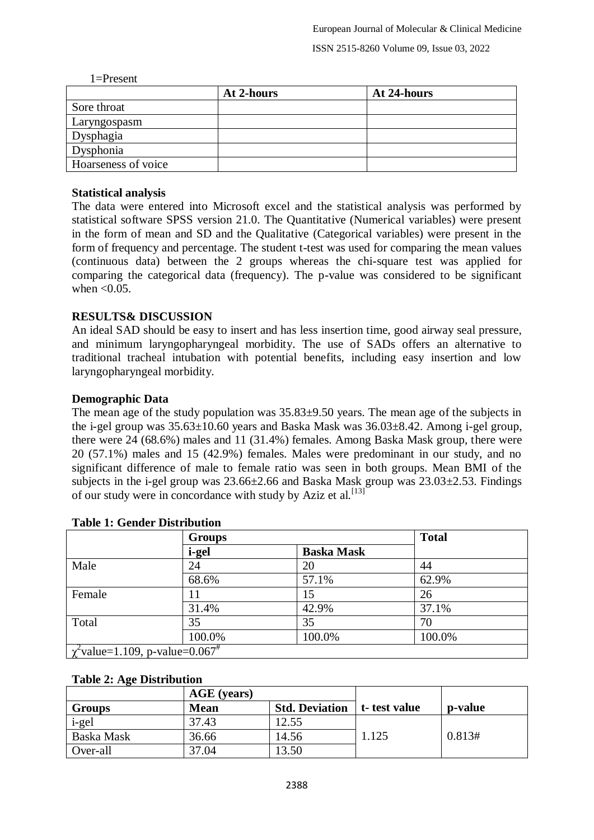#### 1=Present

|                     | At 2-hours | At 24-hours |
|---------------------|------------|-------------|
| Sore throat         |            |             |
| Laryngospasm        |            |             |
| Dysphagia           |            |             |
| Dysphonia           |            |             |
| Hoarseness of voice |            |             |

### **Statistical analysis**

The data were entered into Microsoft excel and the statistical analysis was performed by statistical software SPSS version 21.0. The Quantitative (Numerical variables) were present in the form of mean and SD and the Qualitative (Categorical variables) were present in the form of frequency and percentage. The student t-test was used for comparing the mean values (continuous data) between the 2 groups whereas the chi-square test was applied for comparing the categorical data (frequency). The p-value was considered to be significant when  $< 0.05$ .

# **RESULTS& DISCUSSION**

An ideal SAD should be easy to insert and has less insertion time, good airway seal pressure, and minimum laryngopharyngeal morbidity. The use of SADs offers an alternative to traditional tracheal intubation with potential benefits, including easy insertion and low laryngopharyngeal morbidity.

### **Demographic Data**

The mean age of the study population was 35.83±9.50 years. The mean age of the subjects in the i-gel group was  $35.63\pm10.60$  years and Baska Mask was  $36.03\pm8.42$ . Among i-gel group, there were 24 (68.6%) males and 11 (31.4%) females. Among Baska Mask group, there were 20 (57.1%) males and 15 (42.9%) females. Males were predominant in our study, and no significant difference of male to female ratio was seen in both groups. Mean BMI of the subjects in the i-gel group was 23.66±2.66 and Baska Mask group was 23.03±2.53. Findings of our study were in concordance with study by Aziz et al.  $^{[13]}$ 

|                                                  | <b>Groups</b> |                   | <b>Total</b> |
|--------------------------------------------------|---------------|-------------------|--------------|
|                                                  | i-gel         | <b>Baska Mask</b> |              |
| Male                                             | 24            | 20                | 44           |
|                                                  | 68.6%         | 57.1%             | 62.9%        |
| Female                                           | 11            | 15                | 26           |
|                                                  | 31.4%         | 42.9%             | 37.1%        |
| Total                                            | 35            | 35                | 70           |
|                                                  | 100.0%        | 100.0%            | 100.0%       |
| $\chi^2$ value=1.109, p-value=0.067 <sup>#</sup> |               |                   |              |

# **Table 1: Gender Distribution**

### **Table 2: Age Distribution**

|               | AGE (years) |                       |               |         |
|---------------|-------------|-----------------------|---------------|---------|
| <b>Groups</b> | <b>Mean</b> | <b>Std. Deviation</b> | t- test value | p-value |
| i-gel         | 37.43       | 12.55                 |               |         |
| Baska Mask    | 36.66       | 14.56                 | 1.125         | 0.813#  |
| Over-all      | 37.04       | 13.50                 |               |         |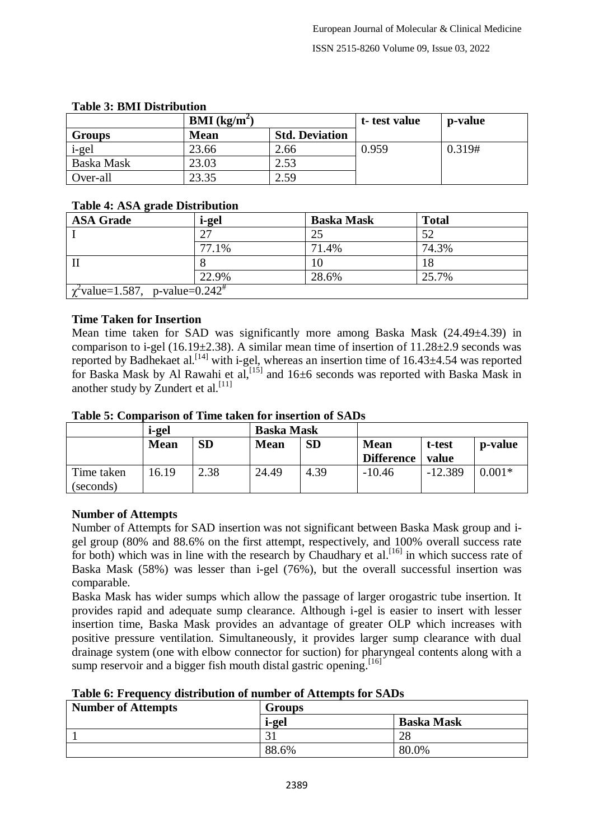| Table of Divil Distribution |             |                       |              |         |  |  |
|-----------------------------|-------------|-----------------------|--------------|---------|--|--|
| <b>BMI</b> ( $kg/m2$ )      |             |                       | t-test value | p-value |  |  |
| <b>Groups</b>               | <b>Mean</b> | <b>Std. Deviation</b> |              |         |  |  |
| i-gel                       | 23.66       | 2.66                  | 0.959        | 0.319#  |  |  |
| Baska Mask                  | 23.03       | 2.53                  |              |         |  |  |
| Over-all                    | 23.35       | 2.59                  |              |         |  |  |

# **Table 3: BMI Distribution**

#### **Table 4: ASA grade Distribution**

| $\overline{\phantom{a}}$<br><b>ASA Grade</b>     | i-gel | <b>Baska Mask</b> | <b>Total</b> |  |
|--------------------------------------------------|-------|-------------------|--------------|--|
|                                                  | 27    | 25                | 52           |  |
|                                                  | 77.1% | 71.4%             | 74.3%        |  |
|                                                  |       |                   |              |  |
|                                                  | 22.9% | 28.6%             | 25.7%        |  |
| $\chi^2$ value=1.587, p-value=0.242 <sup>#</sup> |       |                   |              |  |

### **Time Taken for Insertion**

Mean time taken for SAD was significantly more among Baska Mask  $(24.49\pm4.39)$  in comparison to i-gel (16.19 $\pm$ 2.38). A similar mean time of insertion of 11.28 $\pm$ 2.9 seconds was reported by Badhekaet al.<sup>[14]</sup> with i-gel, whereas an insertion time of 16.43±4.54 was reported for Baska Mask by Al Rawahi et al,  $^{[15]}$  and 16 $\pm$ 6 seconds was reported with Baska Mask in another study by Zundert et al.<sup>[11]</sup>

#### **Table 5: Comparison of Time taken for insertion of SADs**

|                         | i-gel       |           | <b>Baska Mask</b> |           |                   |           |          |
|-------------------------|-------------|-----------|-------------------|-----------|-------------------|-----------|----------|
|                         | <b>Mean</b> | <b>SD</b> | <b>Mean</b>       | <b>SD</b> | <b>Mean</b>       | t-test    | p-value  |
|                         |             |           |                   |           | <b>Difference</b> | value     |          |
| Time taken<br>(seconds) | 16.19       | 2.38      | 24.49             | 4.39      | $-10.46$          | $-12.389$ | $0.001*$ |

### **Number of Attempts**

Number of Attempts for SAD insertion was not significant between Baska Mask group and igel group (80% and 88.6% on the first attempt, respectively, and 100% overall success rate for both) which was in line with the research by Chaudhary et al.<sup>[16]</sup> in which success rate of Baska Mask (58%) was lesser than i-gel (76%), but the overall successful insertion was comparable.

Baska Mask has wider sumps which allow the passage of larger orogastric tube insertion. It provides rapid and adequate sump clearance. Although i-gel is easier to insert with lesser insertion time, Baska Mask provides an advantage of greater OLP which increases with positive pressure ventilation. Simultaneously, it provides larger sump clearance with dual drainage system (one with elbow connector for suction) for pharyngeal contents along with a sump reservoir and a bigger fish mouth distal gastric opening.<sup>[16]</sup>

### **Table 6: Frequency distribution of number of Attempts for SADs**

| <b>Number of Attempts</b> | <b>Groups</b> |                   |  |
|---------------------------|---------------|-------------------|--|
|                           | i-gel         | <b>Baska Mask</b> |  |
|                           | $\bigcap$     | 28                |  |
|                           | 88.6%         | 80.0%             |  |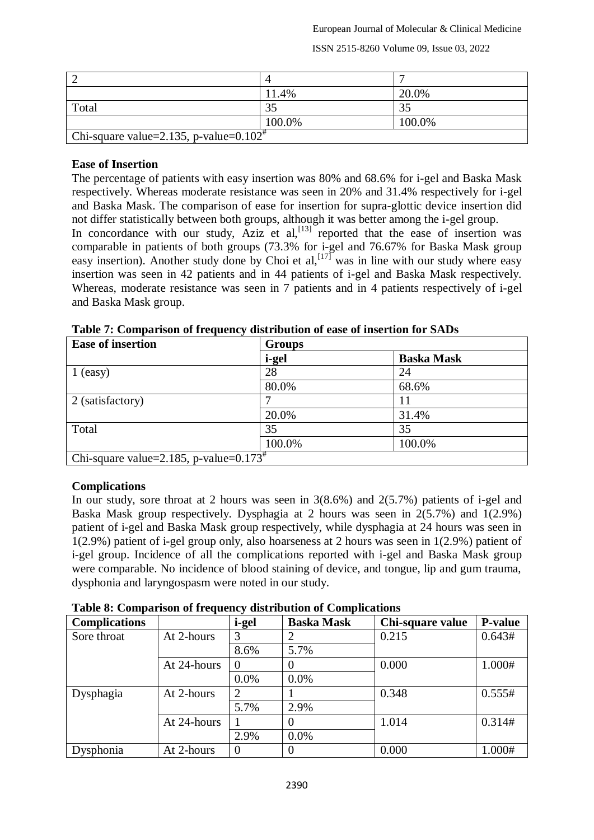ISSN 2515-8260 Volume 09, Issue 03, 2022

|                                                     | 4      |                |
|-----------------------------------------------------|--------|----------------|
|                                                     | 11.4%  | 20.0%          |
| Total                                               | 35     | 3 <sup>2</sup> |
|                                                     | 100.0% | 100.0%         |
| Chi-square value=2.135, p-value= $0.102^{\text{#}}$ |        |                |

#### **Ease of Insertion**

The percentage of patients with easy insertion was 80% and 68.6% for i-gel and Baska Mask respectively. Whereas moderate resistance was seen in 20% and 31.4% respectively for i-gel and Baska Mask. The comparison of ease for insertion for supra-glottic device insertion did not differ statistically between both groups, although it was better among the i-gel group. In concordance with our study, Aziz et al, $^{[13]}$  reported that the ease of insertion was comparable in patients of both groups (73.3% for i-gel and 76.67% for Baska Mask group easy insertion). Another study done by Choi et al,  $\left[\frac{177}{12}\right]$  was in line with our study where easy insertion was seen in 42 patients and in 44 patients of i-gel and Baska Mask respectively. Whereas, moderate resistance was seen in 7 patients and in 4 patients respectively of i-gel and Baska Mask group.

| <b>Ease of insertion</b>                           | <b>Groups</b> |                   |  |
|----------------------------------------------------|---------------|-------------------|--|
|                                                    | i-gel         | <b>Baska Mask</b> |  |
| $1$ (easy)                                         | 28            | 24                |  |
|                                                    | 80.0%         | 68.6%             |  |
| 2 (satisfactory)                                   |               |                   |  |
|                                                    | 20.0%         | 31.4%             |  |
| Total                                              | 35            | 35                |  |
|                                                    | 100.0%        | 100.0%            |  |
| Chi-square value=2.185, p-value= $0.173^{\dagger}$ |               |                   |  |

**Table 7: Comparison of frequency distribution of ease of insertion for SADs**

### **Complications**

In our study, sore throat at 2 hours was seen in 3(8.6%) and 2(5.7%) patients of i-gel and Baska Mask group respectively. Dysphagia at 2 hours was seen in 2(5.7%) and 1(2.9%) patient of i-gel and Baska Mask group respectively, while dysphagia at 24 hours was seen in 1(2.9%) patient of i-gel group only, also hoarseness at 2 hours was seen in 1(2.9%) patient of i-gel group. Incidence of all the complications reported with i-gel and Baska Mask group were comparable. No incidence of blood staining of device, and tongue, lip and gum trauma, dysphonia and laryngospasm were noted in our study.

| Table 8: Comparison of frequency distribution of Complications |             |          |                   |                  |         |  |  |
|----------------------------------------------------------------|-------------|----------|-------------------|------------------|---------|--|--|
| <b>Complications</b>                                           |             | i-gel    | <b>Baska Mask</b> | Chi-square value | P-value |  |  |
| Sore throat                                                    | At 2-hours  |          |                   | 0.215            | 0.643#  |  |  |
|                                                                |             | 8.6%     | 5.7%              |                  |         |  |  |
|                                                                | At 24-hours | $\theta$ |                   | 0.000            | 1.000#  |  |  |
|                                                                |             | $0.0\%$  | $0.0\%$           |                  |         |  |  |
| Dysphagia                                                      | At 2-hours  | 2        |                   | 0.348            | 0.555#  |  |  |
|                                                                |             | 5.7%     | 2.9%              |                  |         |  |  |
|                                                                | At 24-hours |          |                   | 1.014            | 0.314#  |  |  |
|                                                                |             | 2.9%     | $0.0\%$           |                  |         |  |  |
| Dysphonia                                                      | At 2-hours  | $\theta$ |                   | 0.000            | 1.000#  |  |  |

**Table 8: Comparison of frequency distribution of Complications**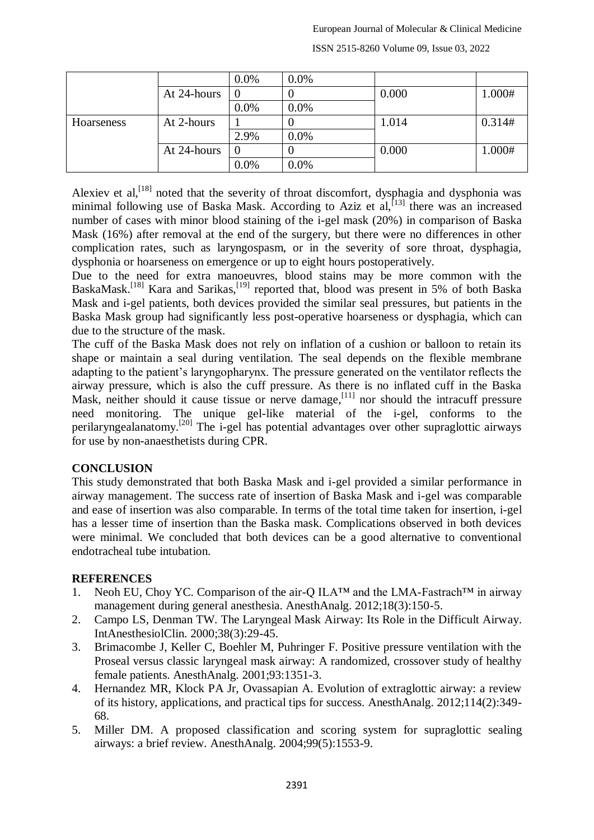|            |             | 0.0%     | 0.0% |       |        |
|------------|-------------|----------|------|-------|--------|
|            | At 24-hours | $\cup$   |      | 0.000 | 1.000# |
|            |             | 0.0%     | 0.0% |       |        |
| Hoarseness | At 2-hours  |          |      | 1.014 | 0.314# |
|            |             | 2.9%     | 0.0% |       |        |
|            | At 24-hours | $\theta$ |      | 0.000 | 1.000# |
|            |             | 0.0%     | 0.0% |       |        |

ISSN 2515-8260 Volume 09, Issue 03, 2022

Alexiev et al,<sup>[18]</sup> noted that the severity of throat discomfort, dysphagia and dysphonia was minimal following use of Baska Mask. According to Aziz et al,<sup>[13]</sup> there was an increased number of cases with minor blood staining of the i-gel mask (20%) in comparison of Baska Mask (16%) after removal at the end of the surgery, but there were no differences in other complication rates, such as laryngospasm, or in the severity of sore throat, dysphagia, dysphonia or hoarseness on emergence or up to eight hours postoperatively.

Due to the need for extra manoeuvres, blood stains may be more common with the BaskaMask.<sup>[18]</sup> Kara and Sarikas,<sup>[19]</sup> reported that, blood was present in 5% of both Baska Mask and i-gel patients, both devices provided the similar seal pressures, but patients in the Baska Mask group had significantly less post-operative hoarseness or dysphagia, which can due to the structure of the mask.

The cuff of the Baska Mask does not rely on inflation of a cushion or balloon to retain its shape or maintain a seal during ventilation. The seal depends on the flexible membrane adapting to the patient's laryngopharynx. The pressure generated on the ventilator reflects the airway pressure, which is also the cuff pressure. As there is no inflated cuff in the Baska Mask, neither should it cause tissue or nerve damage,  $\left[11\right]$  nor should the intracuff pressure need monitoring. The unique gel-like material of the i-gel, conforms to the perilaryngealanatomy.<sup>[20]</sup> The i-gel has potential advantages over other supraglottic airways for use by non-anaesthetists during CPR.

### **CONCLUSION**

This study demonstrated that both Baska Mask and i-gel provided a similar performance in airway management. The success rate of insertion of Baska Mask and i-gel was comparable and ease of insertion was also comparable. In terms of the total time taken for insertion, i-gel has a lesser time of insertion than the Baska mask. Complications observed in both devices were minimal. We concluded that both devices can be a good alternative to conventional endotracheal tube intubation.

### **REFERENCES**

- 1. Neoh EU, Choy YC. Comparison of the air-Q ILA™ and the LMA-Fastrach™ in airway management during general anesthesia. AnesthAnalg. 2012;18(3):150-5.
- 2. Campo LS, Denman TW. The Laryngeal Mask Airway: Its Role in the Difficult Airway. IntAnesthesiolClin. 2000;38(3):29-45.
- 3. Brimacombe J, Keller C, Boehler M, Puhringer F. Positive pressure ventilation with the Proseal versus classic laryngeal mask airway: A randomized, crossover study of healthy female patients. AnesthAnalg. 2001;93:1351-3.
- 4. Hernandez MR, Klock PA Jr, Ovassapian A. Evolution of extraglottic airway: a review of its history, applications, and practical tips for success. AnesthAnalg. 2012;114(2):349- 68.
- 5. Miller DM. A proposed classification and scoring system for supraglottic sealing airways: a brief review. AnesthAnalg. 2004;99(5):1553-9.